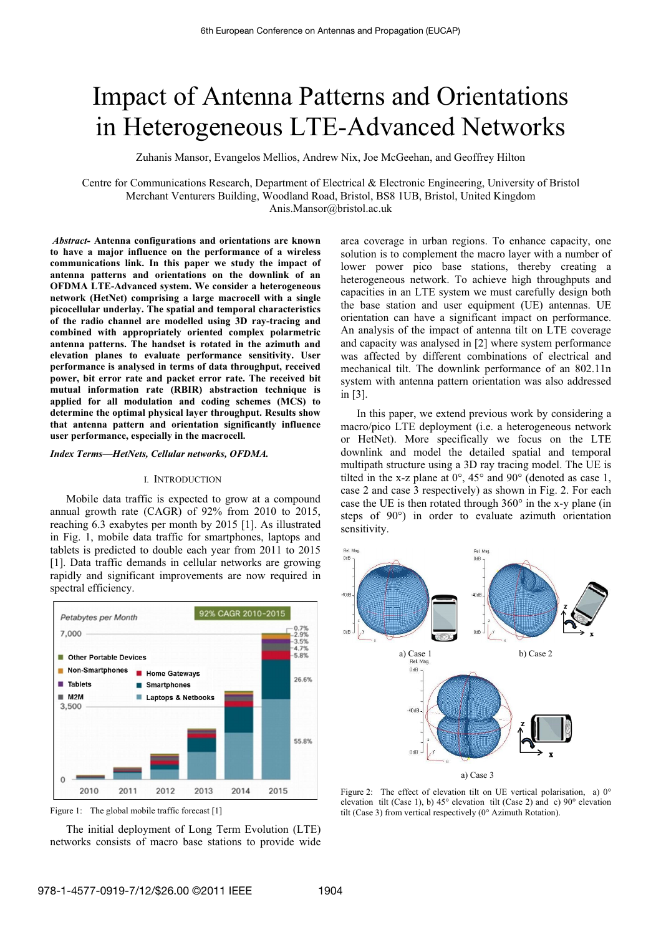# Impact of Antenna Patterns and Orientations in Heterogeneous LTE-Advanced Networks

Zuhanis Mansor, Evangelos Mellios, Andrew Nix, Joe McGeehan, and Geoffrey Hilton

Centre for Communications Research, Department of Electrical & Electronic Engineering, University of Bristol Merchant Venturers Building, Woodland Road, Bristol, BS8 1UB, Bristol, United Kingdom Anis.Mansor@bristol.ac.uk

*Abstract-* **Antenna configurations and orientations are known to have a major influence on the performance of a wireless communications link. In this paper we study the impact of antenna patterns and orientations on the downlink of an OFDMA LTE-Advanced system. We consider a heterogeneous network (HetNet) comprising a large macrocell with a single picocellular underlay. The spatial and temporal characteristics of the radio channel are modelled using 3D ray-tracing and combined with appropriately oriented complex polarmetric antenna patterns. The handset is rotated in the azimuth and elevation planes to evaluate performance sensitivity. User performance is analysed in terms of data throughput, received power, bit error rate and packet error rate. The received bit mutual information rate (RBIR) abstraction technique is applied for all modulation and coding schemes (MCS) to determine the optimal physical layer throughput. Results show that antenna pattern and orientation significantly influence user performance, especially in the macrocell.** 

#### *Index Terms—HetNets, Cellular networks, OFDMA.*

#### I. INTRODUCTION

Mobile data traffic is expected to grow at a compound annual growth rate (CAGR) of 92% from 2010 to 2015, reaching 6.3 exabytes per month by 2015 [1]. As illustrated in Fig. 1, mobile data traffic for smartphones, laptops and tablets is predicted to double each year from 2011 to 2015 [1]. Data traffic demands in cellular networks are growing rapidly and significant improvements are now required in spectral efficiency.





The initial deployment of Long Term Evolution (LTE) networks consists of macro base stations to provide wide area coverage in urban regions. To enhance capacity, one solution is to complement the macro layer with a number of lower power pico base stations, thereby creating a heterogeneous network. To achieve high throughputs and capacities in an LTE system we must carefully design both the base station and user equipment (UE) antennas. UE orientation can have a significant impact on performance. An analysis of the impact of antenna tilt on LTE coverage and capacity was analysed in [2] where system performance was affected by different combinations of electrical and mechanical tilt. The downlink performance of an 802.11n system with antenna pattern orientation was also addressed in [3].

In this paper, we extend previous work by considering a macro/pico LTE deployment (i.e. a heterogeneous network or HetNet). More specifically we focus on the LTE downlink and model the detailed spatial and temporal multipath structure using a 3D ray tracing model. The UE is tilted in the x-z plane at  $0^\circ$ ,  $45^\circ$  and  $90^\circ$  (denoted as case 1, case 2 and case 3 respectively) as shown in Fig. 2. For each case the UE is then rotated through 360° in the x-y plane (in steps of 90°) in order to evaluate azimuth orientation sensitivity.



Figure 2: The effect of elevation tilt on UE vertical polarisation, a)  $0^{\circ}$ elevation tilt (Case 1), b) 45° elevation tilt (Case 2) and c) 90° elevation tilt (Case 3) from vertical respectively (0° Azimuth Rotation).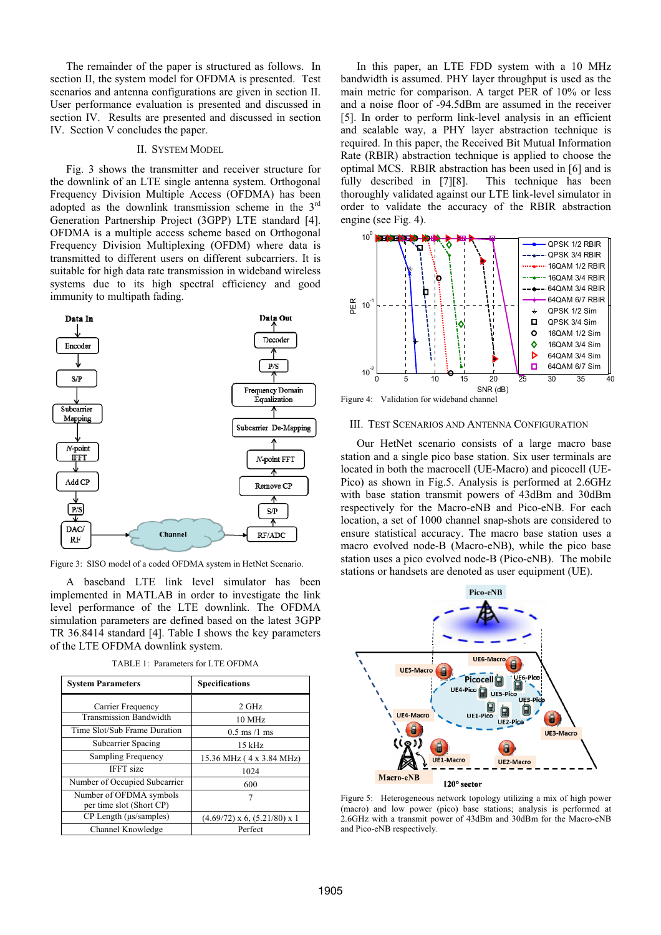The remainder of the paper is structured as follows. In section II, the system model for OFDMA is presented. Test scenarios and antenna configurations are given in section II. User performance evaluation is presented and discussed in section IV. Results are presented and discussed in section IV. Section V concludes the paper.

#### II. SYSTEM MODEL

Fig. 3 shows the transmitter and receiver structure for the downlink of an LTE single antenna system. Orthogonal Frequency Division Multiple Access (OFDMA) has been adopted as the downlink transmission scheme in the 3rd Generation Partnership Project (3GPP) LTE standard [4]. OFDMA is a multiple access scheme based on Orthogonal Frequency Division Multiplexing (OFDM) where data is transmitted to different users on different subcarriers. It is suitable for high data rate transmission in wideband wireless systems due to its high spectral efficiency and good immunity to multipath fading.



Figure 3: SISO model of a coded OFDMA system in HetNet Scenario.

A baseband LTE link level simulator has been implemented in MATLAB in order to investigate the link level performance of the LTE downlink. The OFDMA simulation parameters are defined based on the latest 3GPP TR 36.8414 standard [4]. Table I shows the key parameters of the LTE OFDMA downlink system.

| <b>System Parameters</b>                            | <b>Specifications</b>            |  |
|-----------------------------------------------------|----------------------------------|--|
| Carrier Frequency                                   | 2 GHz                            |  |
| <b>Transmission Bandwidth</b>                       | 10 MHz                           |  |
| Time Slot/Sub Frame Duration                        | $0.5$ ms $/1$ ms                 |  |
| Subcarrier Spacing                                  | $15$ kHz                         |  |
| Sampling Frequency                                  | 15.36 MHz (4 x 3.84 MHz)         |  |
| <b>IFFT</b> size                                    | 1024                             |  |
| Number of Occupied Subcarrier                       | 600                              |  |
| Number of OFDMA symbols<br>per time slot (Short CP) |                                  |  |
| CP Length (us/samples)                              | $(4.69/72)$ x 6, $(5.21/80)$ x 1 |  |
| Channel Knowledge                                   | Perfect                          |  |

TABLE 1: Parameters for LTE OFDMA

In this paper, an LTE FDD system with a 10 MHz bandwidth is assumed. PHY layer throughput is used as the main metric for comparison. A target PER of 10% or less and a noise floor of -94.5dBm are assumed in the receiver [5]. In order to perform link-level analysis in an efficient and scalable way, a PHY layer abstraction technique is required. In this paper, the Received Bit Mutual Information Rate (RBIR) abstraction technique is applied to choose the optimal MCS. RBIR abstraction has been used in [6] and is fully described in [7][8]. This technique has been thoroughly validated against our LTE link-level simulator in order to validate the accuracy of the RBIR abstraction engine (see Fig. 4).



#### III. TEST SCENARIOS AND ANTENNA CONFIGURATION

Our HetNet scenario consists of a large macro base station and a single pico base station. Six user terminals are located in both the macrocell (UE-Macro) and picocell (UE-Pico) as shown in Fig.5. Analysis is performed at 2.6GHz with base station transmit powers of 43dBm and 30dBm respectively for the Macro-eNB and Pico-eNB. For each location, a set of 1000 channel snap-shots are considered to ensure statistical accuracy. The macro base station uses a macro evolved node-B (Macro-eNB), while the pico base station uses a pico evolved node-B (Pico-eNB). The mobile stations or handsets are denoted as user equipment (UE).



Figure 5: Heterogeneous network topology utilizing a mix of high power (macro) and low power (pico) base stations; analysis is performed at 2.6GHz with a transmit power of 43dBm and 30dBm for the Macro-eNB and Pico-eNB respectively.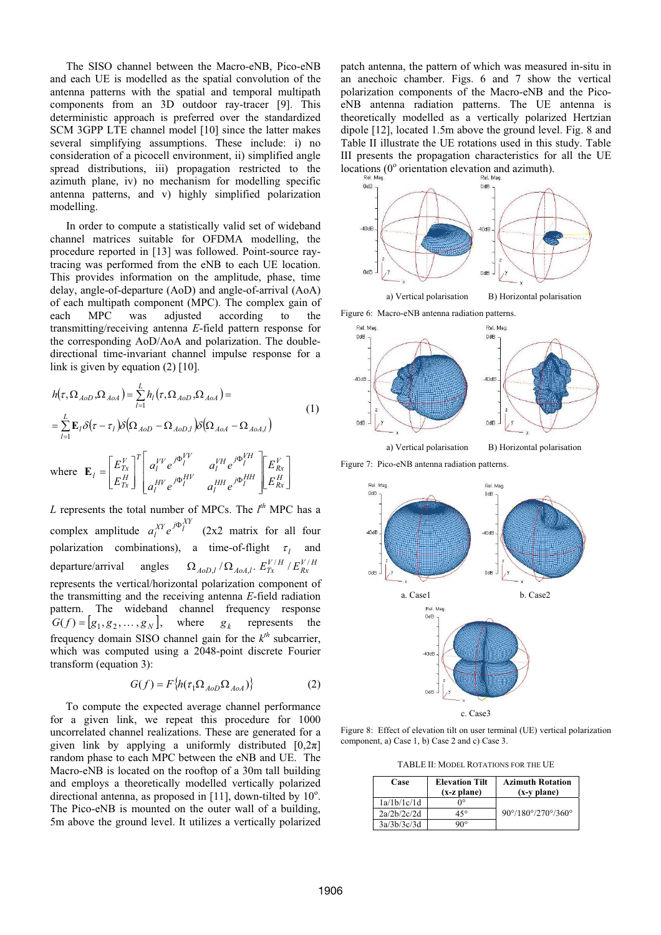The SISO channel between the Macro-eNB, Pico-eNB and each UE is modelled as the spatial convolution of the antenna patterns with the spatial and temporal multipath components from an 3D outdoor ray-tracer [9]. This deterministic approach is preferred over the standardized SCM 3GPP LTE channel model [10] since the latter makes several simplifying assumptions. These include: i) no consideration of a picocell environment, ii) simplified angle spread distributions, iii) propagation restricted to the azimuth plane, iv) no mechanism for modelling specific antenna patterns, and v) highly simplified polarization modelling.

In order to compute a statistically valid set of wideband channel matrices suitable for OFDMA modelling, the procedure reported in [13] was followed. Point-source raytracing was performed from the eNB to each UE location. This provides information on the amplitude, phase, time delay, angle-of-departure (AoD) and angle-of-arrival (AoA) of each multipath component (MPC). The complex gain of each MPC was adjusted according to the transmitting/receiving antenna *E*-field pattern response for the corresponding AoD/AoA and polarization. The doubledirectional time-invariant channel impulse response for a link is given by equation  $(2)$  [10].

$$
h(\tau, \Omega_{AoD}, \Omega_{AoA}) = \sum_{l=1}^{L} h_l(\tau, \Omega_{AoD}, \Omega_{AoA}) =
$$
\n
$$
= \sum_{l=1}^{L} \mathbf{E}_l \delta(\tau - \tau_l) \delta(\Omega_{AoD} - \Omega_{AoD,l}) \delta(\Omega_{AoA} - \Omega_{AoA,l})
$$
\nwhere 
$$
\mathbf{E}_l = \begin{bmatrix} E_{Tx}^V \\ E_{Tx}^H \end{bmatrix}^T \begin{bmatrix} a_l^{VV} e^{j\Phi_l^{VV}} & a_l^{VH} e^{j\Phi_l^{VH}} \\ a_l^{HV} e^{j\Phi_l^{HH}} & a_l^{HH} e^{j\Phi_l^{HH}} \end{bmatrix} \begin{bmatrix} E_{Rx}^V \\ E_{Rx}^H \end{bmatrix}
$$
\n(1)

*L* represents the total number of MPCs. The  $l^h$  MPC has a complex amplitude  $a_l^{XY}e^{j\Phi_l}$ polarization combinations), a time-of-flight  $\tau_l$  and (2x2 matrix for all four departure/arrival angles  $\Omega_{AoD,l}$  /  $\Omega_{AoA,l}$ .  $E_{Tx}^{V/H}$  /  $E_{Rx}^{V/H}$ represents the vertical/horizontal polarization component of the transmitting and the receiving antenna *E*-field radiation pattern. The wideband channel frequency response  $G(f) = [g_1, g_2, \dots, g_N],$  where  $g_k$  represents the frequency domain SISO channel gain for the  $k^m$  subcarrier, which was computed using a 2048-point discrete Fourier which was computed using a 2048-point discrete Fourier transform (equation 3):

$$
G(f) = F\{h(\tau_1 \Omega_{AoD} \Omega_{AoA})\}
$$
 (2)

To compute the expected average channel performance for a given link, we repeat this procedure for 1000 uncorrelated channel realizations. These are generated for a given link by applying a uniformly distributed  $[0,2\pi]$ random phase to each MPC between the eNB and UE. The Macro-eNB is located on the rooftop of a 30m tall building and employs a theoretically modelled vertically polarized directional antenna, as proposed in [11], down-tilted by 10°. The Pico-eNB is mounted on the outer wall of a building, 5m above the ground level. It utilizes a vertically polarized

patch antenna, the pattern of which was measured in-situ in an anechoic chamber. Figs. 6 and 7 show the vertical polarization components of the Macro-eNB and the PicoeNB antenna radiation patterns. The UE antenna is theoretically modelled as a vertically polarized Hertzian dipole [12], located 1.5m above the ground level. Fig. 8 and Table II illustrate the UE rotations used in this study. Table III presents the propagation characteristics for all the UE locations (0<sup>°</sup> orientation elevation and azimuth).



Figure 6: Macro-eNB antenna radiation patterns.





Figure 7: Pico-eNB antenna radiation patterns.



c. Case3

Figure 8: Effect of elevation tilt on user terminal (UE) vertical polarization component, a) Case 1, b) Case 2 and c) Case 3.

TABLE II: MODEL ROTATIONS FOR THE UE

| Case        | <b>Elevation Tilt</b><br>$(x-z plane)$ | <b>Azimuth Rotation</b><br>(x-y plane)           |
|-------------|----------------------------------------|--------------------------------------------------|
| 1a/1b/1c/1d | ∩∘                                     |                                                  |
| 2a/2b/2c/2d | 45°                                    | $90^{\circ}/180^{\circ}/270^{\circ}/360^{\circ}$ |
| 3a/3b/3c/3d | າບ。                                    |                                                  |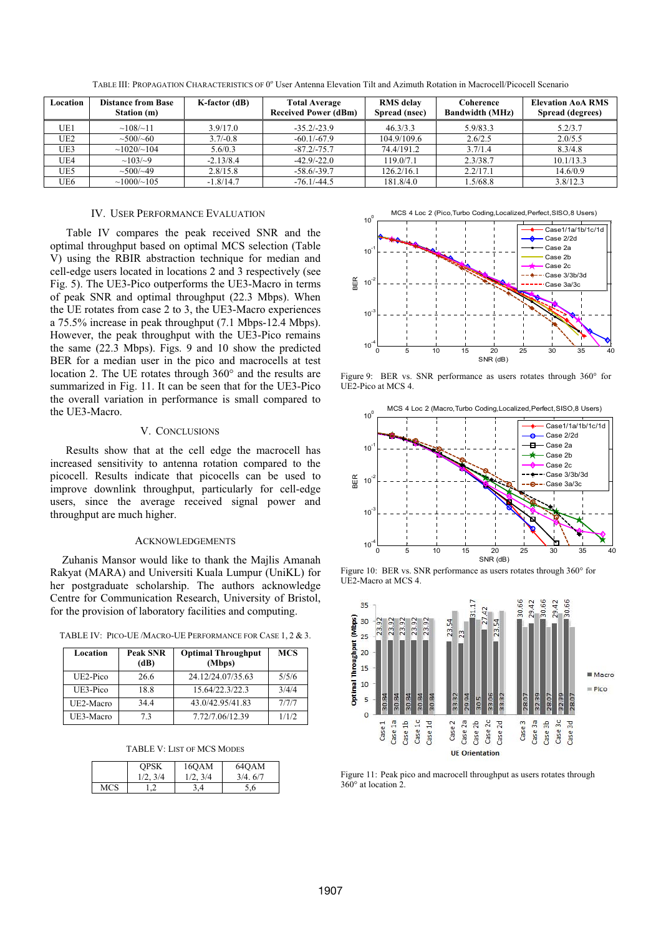| Location        | <b>Distance from Base</b><br>Station (m) | K-factor (dB) | <b>Total Average</b><br><b>Received Power (dBm)</b> | <b>RMS</b> delay<br>Spread (nsec) | Coherence<br><b>Bandwidth (MHz)</b> | <b>Elevation AoA RMS</b><br>Spread (degrees) |
|-----------------|------------------------------------------|---------------|-----------------------------------------------------|-----------------------------------|-------------------------------------|----------------------------------------------|
| UE1             | ~108/~11                                 | 3.9/17.0      | $-35.2/-23.9$                                       | 46.3/3.3                          | 5.9/83.3                            | 5.2/3.7                                      |
| UE <sub>2</sub> | $\sim 500 / 60$                          | $3.7/-0.8$    | $-60.1/-67.9$                                       | 104.9/109.6                       | 2.6/2.5                             | 2.0/5.5                                      |
| UE3             | $\sim$ 1020/ $\sim$ 104                  | 5.6/0.3       | $-87.2/-75.7$                                       | 74.4/191.2                        | 3.7/1.4                             | 8.3/4.8                                      |
| UE4             | $\sim 103/\sim 9$                        | $-2.13/8.4$   | $-42.9/-22.0$                                       | 119.0/7.1                         | 2.3/38.7                            | 10.1/13.3                                    |
| UE5             | $\sim 500 / \sim 49$                     | 2.8/15.8      | $-58.6/-39.7$                                       | 126.2/16.1                        | 2.2/17.1                            | 14.6/0.9                                     |
| UE6             | $\sim$ 1000/ $\sim$ 105                  | $-1.8/14.7$   | $-76.1/-44.5$                                       | 181.8/4.0                         | 1.5/68.8                            | 3.8/12.3                                     |

TABLE III: PROPAGATION CHARACTERISTICS OF 0° User Antenna Elevation Tilt and Azimuth Rotation in Macrocell/Picocell Scenario

# IV. USER PERFORMANCE EVALUATION

Table IV compares the peak received SNR and the optimal throughput based on optimal MCS selection (Table V) using the RBIR abstraction technique for median and cell-edge users located in locations 2 and 3 respectively (see Fig. 5). The UE3-Pico outperforms the UE3-Macro in terms of peak SNR and optimal throughput (22.3 Mbps). When the UE rotates from case 2 to 3, the UE3-Macro experiences a 75.5% increase in peak throughput (7.1 Mbps-12.4 Mbps). However, the peak throughput with the UE3-Pico remains the same (22.3 Mbps). Figs. 9 and 10 show the predicted BER for a median user in the pico and macrocells at test location 2. The UE rotates through 360° and the results are summarized in Fig. 11. It can be seen that for the UE3-Pico the overall variation in performance is small compared to the UE3-Macro.

# V. CONCLUSIONS

Results show that at the cell edge the macrocell has increased sensitivity to antenna rotation compared to the picocell. Results indicate that picocells can be used to improve downlink throughput, particularly for cell-edge users, since the average received signal power and throughput are much higher.

## ACKNOWLEDGEMENTS

Zuhanis Mansor would like to thank the Majlis Amanah Rakyat (MARA) and Universiti Kuala Lumpur (UniKL) for her postgraduate scholarship. The authors acknowledge Centre for Communication Research, University of Bristol, for the provision of laboratory facilities and computing.

TABLE IV: PICO-UE /MACRO-UE PERFORMANCE FOR CASE 1, 2 & 3.

| Location  | <b>Peak SNR</b><br>(dB) | <b>Optimal Throughput</b><br>(Mbps) | <b>MCS</b> |
|-----------|-------------------------|-------------------------------------|------------|
| UE2-Pico  | 26.6                    | 24.12/24.07/35.63                   | 5/5/6      |
| UE3-Pico  | 18.8                    | 15.64/22.3/22.3                     | 3/4/4      |
| UE2-Macro | 344                     | 43.0/42.95/41.83                    | 7/7/7      |
| UE3-Macro | 73                      | 7.72/7.06/12.39                     | 1/1/2      |

| TABLE V: LIST OF MCS MODES |  |
|----------------------------|--|
|----------------------------|--|

|     | <b>OPSK</b> | 16OAM   | 64OAM   |
|-----|-------------|---------|---------|
|     | 1/2.3/4     | 1/2.3/4 | 3/4.6/7 |
| MCS |             | , 4     | 5.6     |



Figure 9: BER vs. SNR performance as users rotates through 360° for UE2-Pico at MCS 4.



Figure 10: BER vs. SNR performance as users rotates through 360° for UE2-Macro at MCS 4.



Figure 11: Peak pico and macrocell throughput as users rotates through 360° at location 2.